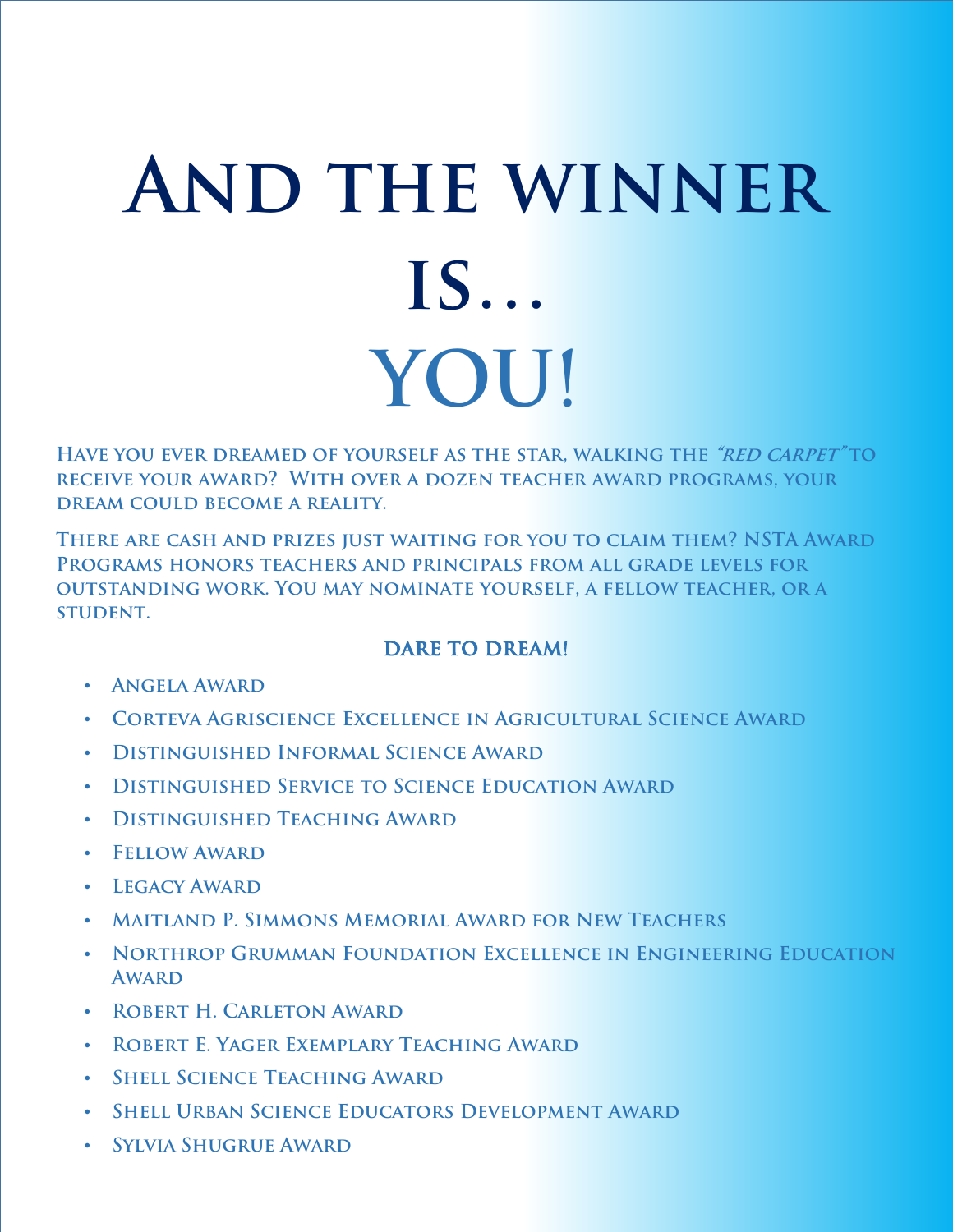## **AND THE WINNER is… YOU!**

**Have you ever dreamed of yourself as the star, walking the "red carpet" to receive your award? With over a dozen teacher award programs, your dream could become a reality.**

**There are cash and prizes just waiting for you to claim them? NSTA Award Programs honors teachers and principals from all grade levels for outstanding work. You may nominate yourself, a fellow teacher, or a student.**

## **DARE TO DREAM!**

- **Angela Award**
- **Corteva Agriscience Excellence in Agricultural Science Award**
- **Distinguished Informal Science Award**
- **Distinguished Service to Science Education Award**
- **Distinguished Teaching Award**
- **Fellow Award**
- **Legacy Award**
- **Maitland P. Simmons Memorial Award for New Teachers**
- **Northrop Grumman Foundation Excellence in Engineering Education Award**
- **Robert H. Carleton Award**
- **Robert E. Yager Exemplary Teaching Award**
- **Shell Science Teaching Award**
- **Shell Urban Science Educators Development Award**
- **Sylvia Shugrue Award**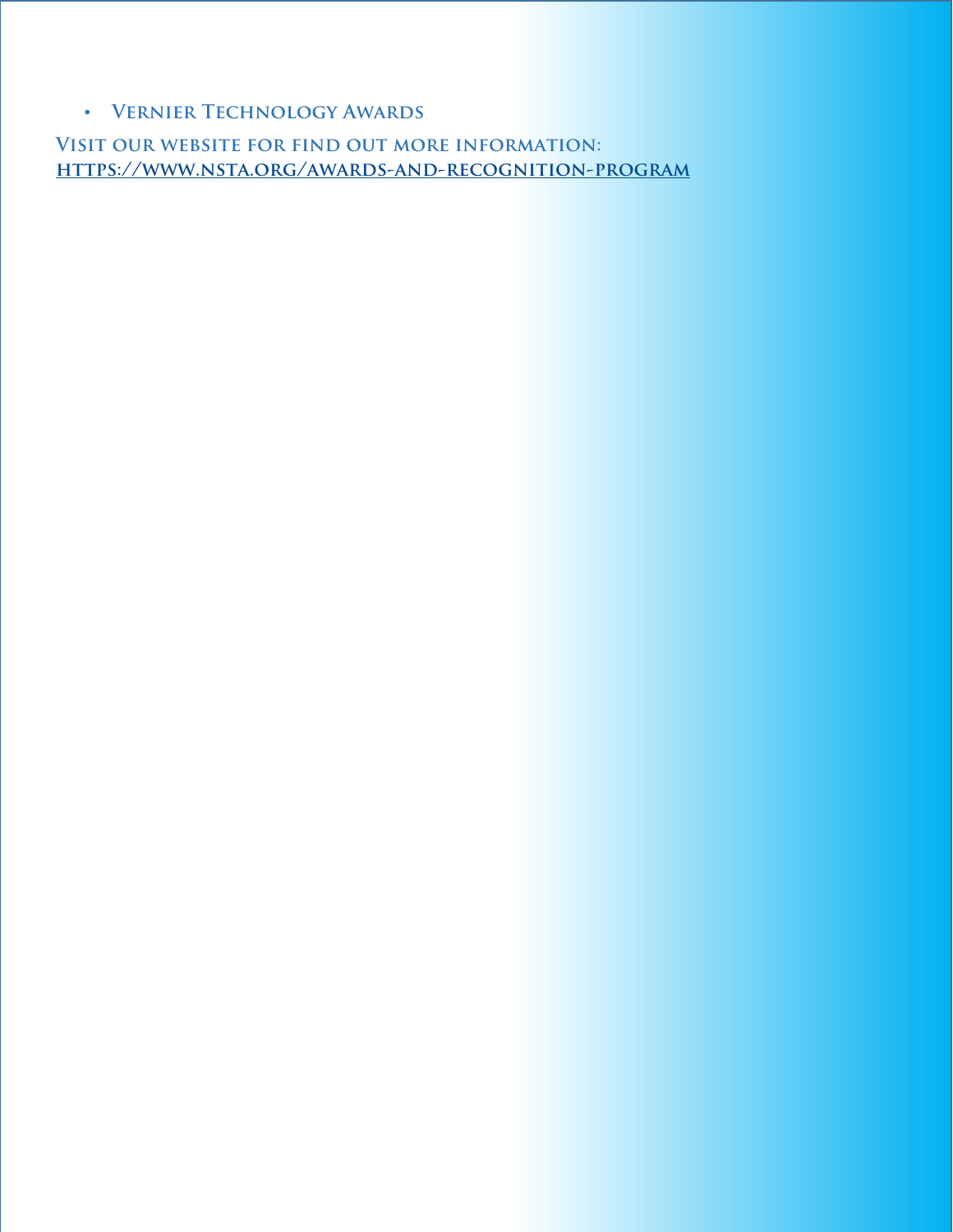• **Vernier Technology Awards**

**Visit our website for find out more information: https://www.nsta.org/awards-and-recognition-program**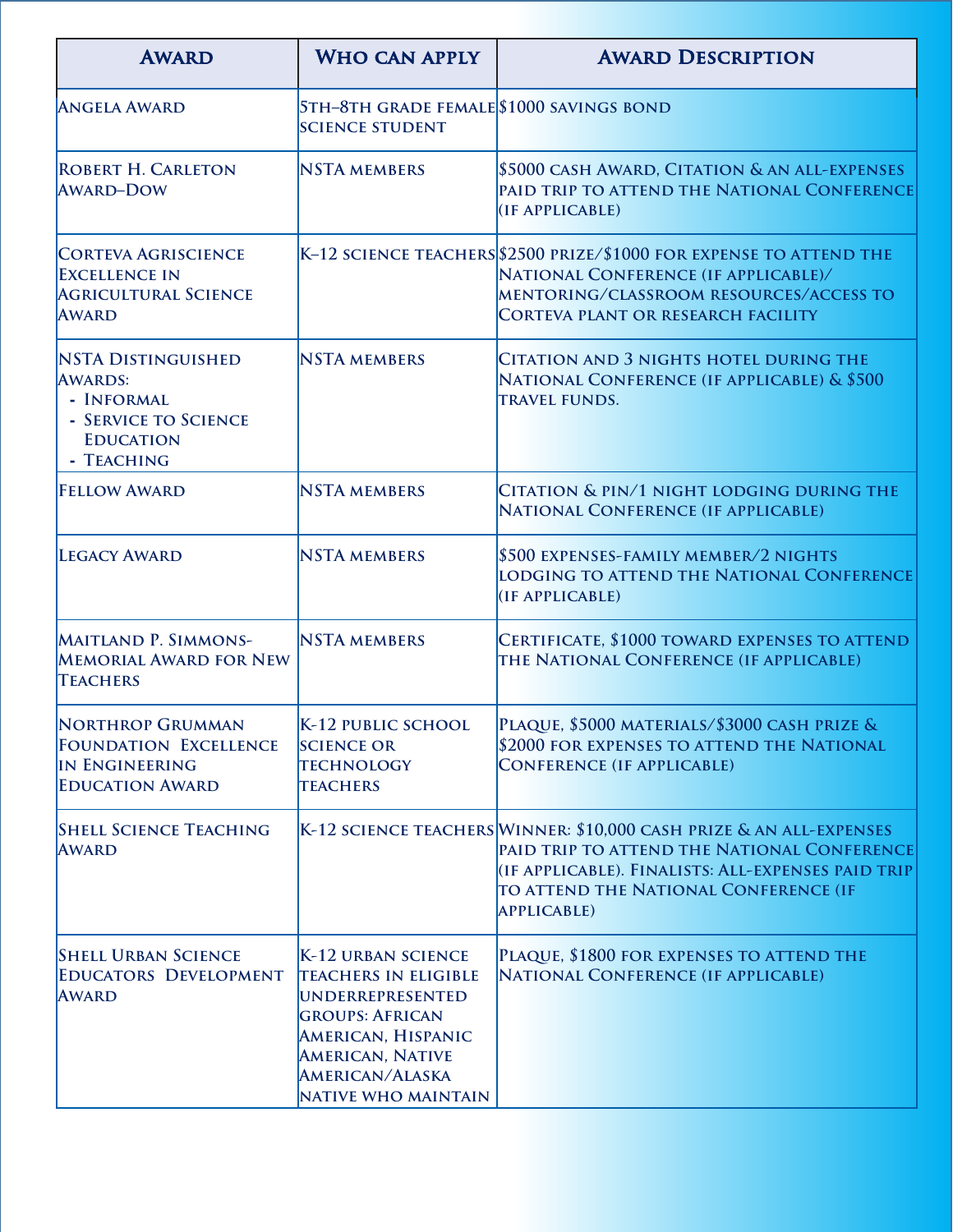| <b>AWARD</b>                                                                                                        | <b>WHO CAN APPLY</b>                                                                                                                                                                                     | <b>AWARD DESCRIPTION</b>                                                                                                                                                                                                                |
|---------------------------------------------------------------------------------------------------------------------|----------------------------------------------------------------------------------------------------------------------------------------------------------------------------------------------------------|-----------------------------------------------------------------------------------------------------------------------------------------------------------------------------------------------------------------------------------------|
| <b>ANGELA AWARD</b>                                                                                                 | <b>5TH-8TH GRADE FEMALE \$1000 SAVINGS BOND</b><br><b>SCIENCE STUDENT</b>                                                                                                                                |                                                                                                                                                                                                                                         |
| <b>ROBERT H. CARLETON</b><br><b>AWARD-DOW</b>                                                                       | <b>NSTA MEMBERS</b>                                                                                                                                                                                      | \$5000 CASH AWARD, CITATION & AN ALL-EXPENSES<br>PAID TRIP TO ATTEND THE NATIONAL CONFERENCE<br>(IF APPLICABLE)                                                                                                                         |
| <b>CORTEVA AGRISCIENCE</b><br><b>EXCELLENCE IN</b><br><b>AGRICULTURAL SCIENCE</b><br><b>AWARD</b>                   |                                                                                                                                                                                                          | K-12 SCIENCE TEACHERS \$2500 PRIZE/\$1000 FOR EXPENSE TO ATTEND THE<br>NATIONAL CONFERENCE (IF APPLICABLE)/<br>MENTORING/CLASSROOM RESOURCES/ACCESS TO<br><b>CORTEVA PLANT OR RESEARCH FACILITY</b>                                     |
| <b>NSTA DISTINGUISHED</b><br><b>AWARDS:</b><br>- INFORMAL<br>- SERVICE TO SCIENCE<br><b>EDUCATION</b><br>- TEACHING | <b>NSTA MEMBERS</b>                                                                                                                                                                                      | CITATION AND 3 NIGHTS HOTEL DURING THE<br>NATIONAL CONFERENCE (IF APPLICABLE) & \$500<br><b>TRAVEL FUNDS.</b>                                                                                                                           |
| <b>FELLOW AWARD</b>                                                                                                 | <b>NSTA MEMBERS</b>                                                                                                                                                                                      | CITATION & PIN/1 NIGHT LODGING DURING THE<br><b>NATIONAL CONFERENCE (IF APPLICABLE)</b>                                                                                                                                                 |
| <b>LEGACY AWARD</b>                                                                                                 | <b>NSTA MEMBERS</b>                                                                                                                                                                                      | \$500 EXPENSES-FAMILY MEMBER/2 NIGHTS<br>LODGING TO ATTEND THE NATIONAL CONFERENCE<br>(IF APPLICABLE)                                                                                                                                   |
| MAITLAND P. SIMMONS-<br><b>MEMORIAL AWARD FOR NEW</b><br><b>TEACHERS</b>                                            | <b>NSTA MEMBERS</b>                                                                                                                                                                                      | CERTIFICATE, \$1000 TOWARD EXPENSES TO ATTEND<br>THE NATIONAL CONFERENCE (IF APPLICABLE)                                                                                                                                                |
| <b>NORTHROP GRUMMAN</b><br><b>FOUNDATION EXCELLENCE</b><br>IN ENGINEERING<br><b>EDUCATION AWARD</b>                 | K-12 PUBLIC SCHOOL<br><b>SCIENCE OR</b><br><b>TECHNOLOGY</b><br><b>TEACHERS</b>                                                                                                                          | PLAQUE, \$5000 MATERIALS/\$3000 CASH PRIZE &<br>\$2000 FOR EXPENSES TO ATTEND THE NATIONAL<br><b>CONFERENCE (IF APPLICABLE)</b>                                                                                                         |
| <b>SHELL SCIENCE TEACHING</b><br><b>AWARD</b>                                                                       |                                                                                                                                                                                                          | K-12 science teachers Winner: \$10,000 cash prize & an all-expenses<br>PAID TRIP TO ATTEND THE NATIONAL CONFERENCE<br>(IF APPLICABLE). FINALISTS: ALL-EXPENSES PAID TRIP<br>TO ATTEND THE NATIONAL CONFERENCE (IF<br><b>APPLICABLE)</b> |
| <b>SHELL URBAN SCIENCE</b><br><b>EDUCATORS DEVELOPMENT</b><br><b>AWARD</b>                                          | K-12 URBAN SCIENCE<br><b>TEACHERS IN ELIGIBLE</b><br><b>UNDERREPRESENTED</b><br><b>GROUPS: AFRICAN</b><br>AMERICAN, HISPANIC<br><b>AMERICAN, NATIVE</b><br>AMERICAN/ALASKA<br><b>NATIVE WHO MAINTAIN</b> | PLAQUE, \$1800 FOR EXPENSES TO ATTEND THE<br>NATIONAL CONFERENCE (IF APPLICABLE)                                                                                                                                                        |